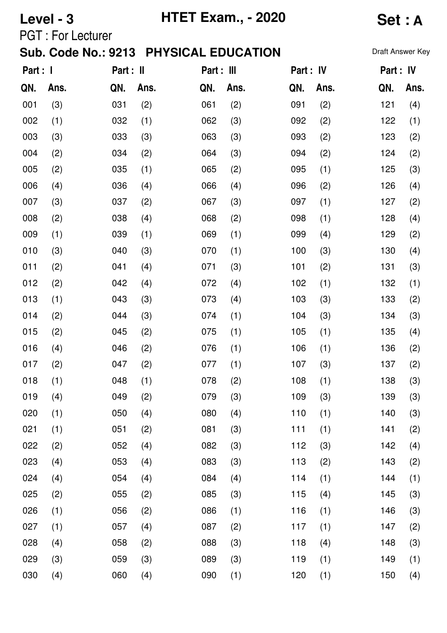|          | Level - 3                |           |      | <b>HTET Exam., - 2020</b>              | <b>Set: A</b> |           |      |                  |      |
|----------|--------------------------|-----------|------|----------------------------------------|---------------|-----------|------|------------------|------|
|          | <b>PGT: For Lecturer</b> |           |      |                                        |               |           |      |                  |      |
|          |                          |           |      | Sub. Code No.: 9213 PHYSICAL EDUCATION |               |           |      | Draft Answer Key |      |
| Part : I |                          | Part : II |      | Part : III                             |               | Part : IV |      | Part : IV        |      |
| QN.      | Ans.                     | QN.       | Ans. | QN.                                    | Ans.          | QN.       | Ans. | QN.              | Ans. |
| 001      | (3)                      | 031       | (2)  | 061                                    | (2)           | 091       | (2)  | 121              | (4)  |
| 002      | (1)                      | 032       | (1)  | 062                                    | (3)           | 092       | (2)  | 122              | (1)  |
| 003      | (3)                      | 033       | (3)  | 063                                    | (3)           | 093       | (2)  | 123              | (2)  |
| 004      | (2)                      | 034       | (2)  | 064                                    | (3)           | 094       | (2)  | 124              | (2)  |
| 005      | (2)                      | 035       | (1)  | 065                                    | (2)           | 095       | (1)  | 125              | (3)  |
| 006      | (4)                      | 036       | (4)  | 066                                    | (4)           | 096       | (2)  | 126              | (4)  |
| 007      | (3)                      | 037       | (2)  | 067                                    | (3)           | 097       | (1)  | 127              | (2)  |
| 008      | (2)                      | 038       | (4)  | 068                                    | (2)           | 098       | (1)  | 128              | (4)  |
| 009      | (1)                      | 039       | (1)  | 069                                    | (1)           | 099       | (4)  | 129              | (2)  |
| 010      | (3)                      | 040       | (3)  | 070                                    | (1)           | 100       | (3)  | 130              | (4)  |
| 011      | (2)                      | 041       | (4)  | 071                                    | (3)           | 101       | (2)  | 131              | (3)  |
| 012      | (2)                      | 042       | (4)  | 072                                    | (4)           | 102       | (1)  | 132              | (1)  |
| 013      | (1)                      | 043       | (3)  | 073                                    | (4)           | 103       | (3)  | 133              | (2)  |
| 014      | (2)                      | 044       | (3)  | 074                                    | (1)           | 104       | (3)  | 134              | (3)  |
| 015      | (2)                      | 045       | (2)  | 075                                    | (1)           | 105       | (1)  | 135              | (4)  |
| 016      | (4)                      | 046       | (2)  | 076                                    | (1)           | 106       | (1)  | 136              | (2)  |
| 017      | (2)                      | 047       | (2)  | 077                                    | (1)           | 107       | (3)  | 137              | (2)  |
| 018      | (1)                      | 048       | (1)  | 078                                    | (2)           | 108       | (1)  | 138              | (3)  |
| 019      | (4)                      | 049       | (2)  | 079                                    | (3)           | 109       | (3)  | 139              | (3)  |
| 020      | (1)                      | 050       | (4)  | 080                                    | (4)           | 110       | (1)  | 140              | (3)  |
| 021      | (1)                      | 051       | (2)  | 081                                    | (3)           | 111       | (1)  | 141              | (2)  |
| 022      | (2)                      | 052       | (4)  | 082                                    | (3)           | 112       | (3)  | 142              | (4)  |
| 023      | (4)                      | 053       | (4)  | 083                                    | (3)           | 113       | (2)  | 143              | (2)  |
| 024      | (4)                      | 054       | (4)  | 084                                    | (4)           | 114       | (1)  | 144              | (1)  |
| 025      | (2)                      | 055       | (2)  | 085                                    | (3)           | 115       | (4)  | 145              | (3)  |
| 026      | (1)                      | 056       | (2)  | 086                                    | (1)           | 116       | (1)  | 146              | (3)  |
| 027      | (1)                      | 057       | (4)  | 087                                    | (2)           | 117       | (1)  | 147              | (2)  |
| 028      | (4)                      | 058       | (2)  | 088                                    | (3)           | 118       | (4)  | 148              | (3)  |
| 029      | (3)                      | 059       | (3)  | 089                                    | (3)           | 119       | (1)  | 149              | (1)  |
| 030      | (4)                      | 060       | (4)  | 090                                    | (1)           | 120       | (1)  | 150              | (4)  |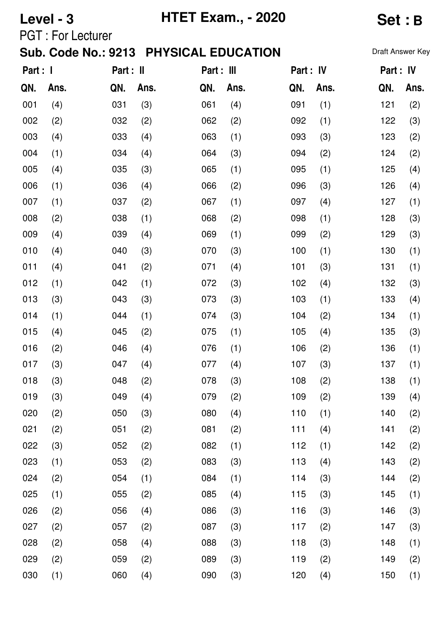|          | Level - 3                |           |      | <b>HTET Exam., - 2020</b>              | <b>Set:B</b> |           |      |                  |      |
|----------|--------------------------|-----------|------|----------------------------------------|--------------|-----------|------|------------------|------|
|          | <b>PGT: For Lecturer</b> |           |      |                                        |              |           |      |                  |      |
|          |                          |           |      | Sub. Code No.: 9213 PHYSICAL EDUCATION |              |           |      | Draft Answer Key |      |
| Part : I |                          | Part : II |      | Part : III                             |              | Part : IV |      | Part : IV        |      |
| QN.      | Ans.                     | QN.       | Ans. | QN.                                    | Ans.         | QN.       | Ans. | QN.              | Ans. |
| 001      | (4)                      | 031       | (3)  | 061                                    | (4)          | 091       | (1)  | 121              | (2)  |
| 002      | (2)                      | 032       | (2)  | 062                                    | (2)          | 092       | (1)  | 122              | (3)  |
| 003      | (4)                      | 033       | (4)  | 063                                    | (1)          | 093       | (3)  | 123              | (2)  |
| 004      | (1)                      | 034       | (4)  | 064                                    | (3)          | 094       | (2)  | 124              | (2)  |
| 005      | (4)                      | 035       | (3)  | 065                                    | (1)          | 095       | (1)  | 125              | (4)  |
| 006      | (1)                      | 036       | (4)  | 066                                    | (2)          | 096       | (3)  | 126              | (4)  |
| 007      | (1)                      | 037       | (2)  | 067                                    | (1)          | 097       | (4)  | 127              | (1)  |
| 008      | (2)                      | 038       | (1)  | 068                                    | (2)          | 098       | (1)  | 128              | (3)  |
| 009      | (4)                      | 039       | (4)  | 069                                    | (1)          | 099       | (2)  | 129              | (3)  |
| 010      | (4)                      | 040       | (3)  | 070                                    | (3)          | 100       | (1)  | 130              | (1)  |
| 011      | (4)                      | 041       | (2)  | 071                                    | (4)          | 101       | (3)  | 131              | (1)  |
| 012      | (1)                      | 042       | (1)  | 072                                    | (3)          | 102       | (4)  | 132              | (3)  |
| 013      | (3)                      | 043       | (3)  | 073                                    | (3)          | 103       | (1)  | 133              | (4)  |
| 014      | (1)                      | 044       | (1)  | 074                                    | (3)          | 104       | (2)  | 134              | (1)  |
| 015      | (4)                      | 045       | (2)  | 075                                    | (1)          | 105       | (4)  | 135              | (3)  |
| 016      | (2)                      | 046       | (4)  | 076                                    | (1)          | 106       | (2)  | 136              | (1)  |
| 017      | (3)                      | 047       | (4)  | 077                                    | (4)          | 107       | (3)  | 137              | (1)  |
| 018      | (3)                      | 048       | (2)  | 078                                    | (3)          | 108       | (2)  | 138              | (1)  |
| 019      | (3)                      | 049       | (4)  | 079                                    | (2)          | 109       | (2)  | 139              | (4)  |
| 020      | (2)                      | 050       | (3)  | 080                                    | (4)          | 110       | (1)  | 140              | (2)  |
| 021      | (2)                      | 051       | (2)  | 081                                    | (2)          | 111       | (4)  | 141              | (2)  |
| 022      | (3)                      | 052       | (2)  | 082                                    | (1)          | 112       | (1)  | 142              | (2)  |
| 023      | (1)                      | 053       | (2)  | 083                                    | (3)          | 113       | (4)  | 143              | (2)  |
| 024      | (2)                      | 054       | (1)  | 084                                    | (1)          | 114       | (3)  | 144              | (2)  |
| 025      | (1)                      | 055       | (2)  | 085                                    | (4)          | 115       | (3)  | 145              | (1)  |
| 026      | (2)                      | 056       | (4)  | 086                                    | (3)          | 116       | (3)  | 146              | (3)  |
| 027      | (2)                      | 057       | (2)  | 087                                    | (3)          | 117       | (2)  | 147              | (3)  |
| 028      | (2)                      | 058       | (4)  | 088                                    | (3)          | 118       | (3)  | 148              | (1)  |
| 029      | (2)                      | 059       | (2)  | 089                                    | (3)          | 119       | (2)  | 149              | (2)  |
| 030      | (1)                      | 060       | (4)  | 090                                    | (3)          | 120       | (4)  | 150              | (1)  |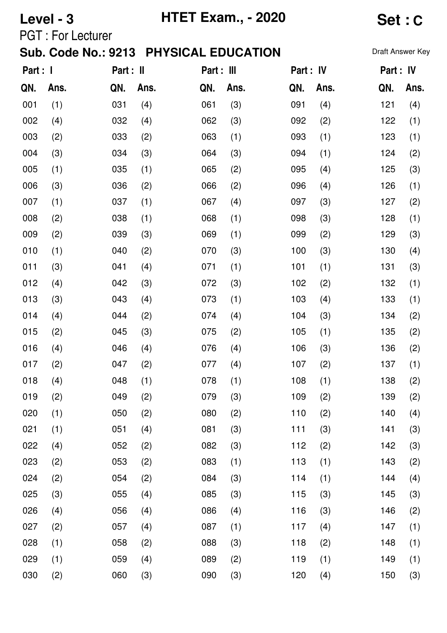|          | Level - 3                |           |      | <b>HTET Exam., - 2020</b>              | <b>Set:C</b> |           |      |                  |      |
|----------|--------------------------|-----------|------|----------------------------------------|--------------|-----------|------|------------------|------|
|          | <b>PGT: For Lecturer</b> |           |      |                                        |              |           |      |                  |      |
|          |                          |           |      | Sub. Code No.: 9213 PHYSICAL EDUCATION |              |           |      | Draft Answer Key |      |
| Part : I |                          | Part : II |      | Part : III                             |              | Part : IV |      | Part : IV        |      |
| QN.      | Ans.                     | QN.       | Ans. | QN.                                    | Ans.         | QN.       | Ans. | QN.              | Ans. |
| 001      | (1)                      | 031       | (4)  | 061                                    | (3)          | 091       | (4)  | 121              | (4)  |
| 002      | (4)                      | 032       | (4)  | 062                                    | (3)          | 092       | (2)  | 122              | (1)  |
| 003      | (2)                      | 033       | (2)  | 063                                    | (1)          | 093       | (1)  | 123              | (1)  |
| 004      | (3)                      | 034       | (3)  | 064                                    | (3)          | 094       | (1)  | 124              | (2)  |
| 005      | (1)                      | 035       | (1)  | 065                                    | (2)          | 095       | (4)  | 125              | (3)  |
| 006      | (3)                      | 036       | (2)  | 066                                    | (2)          | 096       | (4)  | 126              | (1)  |
| 007      | (1)                      | 037       | (1)  | 067                                    | (4)          | 097       | (3)  | 127              | (2)  |
| 008      | (2)                      | 038       | (1)  | 068                                    | (1)          | 098       | (3)  | 128              | (1)  |
| 009      | (2)                      | 039       | (3)  | 069                                    | (1)          | 099       | (2)  | 129              | (3)  |
| 010      | (1)                      | 040       | (2)  | 070                                    | (3)          | 100       | (3)  | 130              | (4)  |
| 011      | (3)                      | 041       | (4)  | 071                                    | (1)          | 101       | (1)  | 131              | (3)  |
| 012      | (4)                      | 042       | (3)  | 072                                    | (3)          | 102       | (2)  | 132              | (1)  |
| 013      | (3)                      | 043       | (4)  | 073                                    | (1)          | 103       | (4)  | 133              | (1)  |
| 014      | (4)                      | 044       | (2)  | 074                                    | (4)          | 104       | (3)  | 134              | (2)  |
| 015      | (2)                      | 045       | (3)  | 075                                    | (2)          | 105       | (1)  | 135              | (2)  |
| 016      | (4)                      | 046       | (4)  | 076                                    | (4)          | 106       | (3)  | 136              | (2)  |
| 017      | (2)                      | 047       | (2)  | 077                                    | (4)          | 107       | (2)  | 137              | (1)  |
| 018      | (4)                      | 048       | (1)  | 078                                    | (1)          | 108       | (1)  | 138              | (2)  |
| 019      | (2)                      | 049       | (2)  | 079                                    | (3)          | 109       | (2)  | 139              | (2)  |
| 020      | (1)                      | 050       | (2)  | 080                                    | (2)          | 110       | (2)  | 140              | (4)  |
| 021      | (1)                      | 051       | (4)  | 081                                    | (3)          | 111       | (3)  | 141              | (3)  |
| 022      | (4)                      | 052       | (2)  | 082                                    | (3)          | 112       | (2)  | 142              | (3)  |
| 023      | (2)                      | 053       | (2)  | 083                                    | (1)          | 113       | (1)  | 143              | (2)  |
| 024      | (2)                      | 054       | (2)  | 084                                    | (3)          | 114       | (1)  | 144              | (4)  |
| 025      | (3)                      | 055       | (4)  | 085                                    | (3)          | 115       | (3)  | 145              | (3)  |
| 026      | (4)                      | 056       | (4)  | 086                                    | (4)          | 116       | (3)  | 146              | (2)  |
| 027      | (2)                      | 057       | (4)  | 087                                    | (1)          | 117       | (4)  | 147              | (1)  |
| 028      | (1)                      | 058       | (2)  | 088                                    | (3)          | 118       | (2)  | 148              | (1)  |
| 029      | (1)                      | 059       | (4)  | 089                                    | (2)          | 119       | (1)  | 149              | (1)  |
| 030      | (2)                      | 060       | (3)  | 090                                    | (3)          | 120       | (4)  | 150              | (3)  |